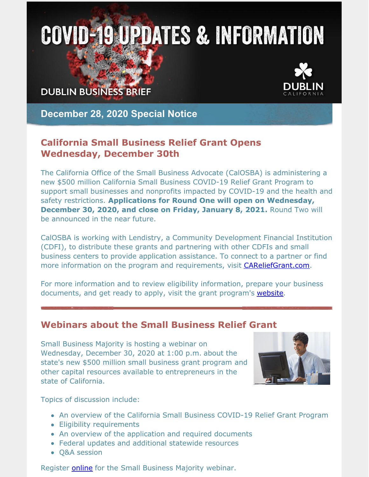# **COVID-19 UPDATES & INFORMATION**

**DUBLIN BUSINESS BRIEF** 



**December 28, 2020 Special Notice**

### **California Small Business Relief Grant Opens Wednesday, December 30th**

The California Office of the Small Business Advocate (CalOSBA) is administering a new \$500 million California Small Business COVID-19 Relief Grant Program to support small businesses and nonprofits impacted by COVID-19 and the health and safety restrictions. **Applications for Round One will open on Wednesday, December 30, 2020, and close on Friday, January 8, 2021.** Round Two will be announced in the near future.

CalOSBA is working with Lendistry, a Community Development Financial Institution (CDFI), to distribute these grants and partnering with other CDFIs and small business centers to provide application assistance. To connect to a partner or find more information on the program and requirements, visit [CAReliefGrant.com](https://careliefgrant.com/).

For more information and to review eligibility information, prepare your business documents, and get ready to apply, visit the grant program's [website](https://careliefgrant.com/).

## **Webinars about the Small Business Relief Grant**

Small Business Majority is hosting a webinar on Wednesday, December 30, 2020 at 1:00 p.m. about the state's new \$500 million small business grant program and other capital resources available to entrepreneurs in the state of California.



Topics of discussion include:

- An overview of the California Small Business COVID-19 Relief Grant Program
- Eligibility requirements
- An overview of the application and required documents
- Federal updates and additional statewide resources
- Q&A session

Register **[online](https://app.livestorm.co/small-business-majority/new-grant-program-and-other-covid-19-resources-for-california-small-businesses)** for the Small Business Majority webinar.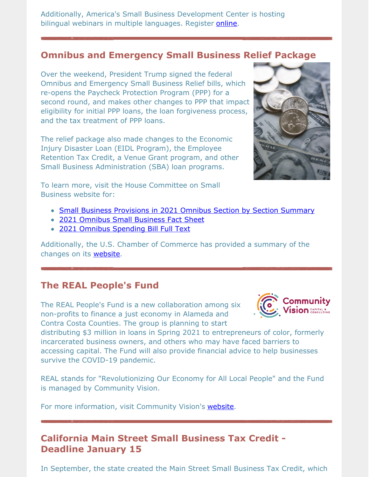Additionally, America's Small Business Development Center is hosting bilingual webinars in multiple languages. Register [online](https://fullerton.zoom.us/webinar/register/WN_DNMLHwM5SSehzRxAKkSFZA).

#### **Omnibus and Emergency Small Business Relief Package**

Over the weekend, President Trump signed the federal Omnibus and Emergency Small Business Relief bills, which re-opens the Paycheck Protection Program (PPP) for a second round, and makes other changes to PPP that impact eligibility for initial PPP loans, the loan forgiveness process, and the tax treatment of PPP loans.

The relief package also made changes to the Economic Injury Disaster Loan (EIDL Program), the Employee Retention Tax Credit, a Venue Grant program, and other Small Business Administration (SBA) loan programs.



To learn more, visit the House Committee on Small Business website for:

- Small Business [Provisions](https://smallbusiness.house.gov/UploadedFiles/Small_Business_Title_Section-by-Section_12.21_FINAL.pdf) in 2021 Omnibus Section by Section Summary
- 2021 [Omnibus](https://smallbusiness.house.gov/UploadedFiles/12.21.20-Stimulus-Fact_Sheet_-SBC.pdf) Small Business Fact Sheet
- 2021 Omnibus [Spending](https://rules.house.gov/sites/democrats.rules.house.gov/files/BILLS-116HR133SA-RCP-116-68.pdf) Bill Full Text

Additionally, the U.S. Chamber of Commerce has provided a summary of the changes on its [website](https://www.uschamber.com/report/guide-small-business-covid-19-emergency-loans).

## **The REAL People's Fund**

The REAL People's Fund is a new collaboration among six non-profits to finance a just economy in Alameda and Contra Costa Counties. The group is planning to start



distributing \$3 million in loans in Spring 2021 to entrepreneurs of color, formerly incarcerated business owners, and others who may have faced barriers to accessing capital. The Fund will also provide financial advice to help businesses survive the COVID-19 pandemic.

REAL stands for "Revolutionizing Our Economy for All Local People" and the Fund is managed by Community Vision.

For more information, visit Community Vision's [website](https://communityvisionca.org/realpeoplesfund/).

# **California Main Street Small Business Tax Credit - Deadline January 15**

In September, the state created the Main Street Small Business Tax Credit, which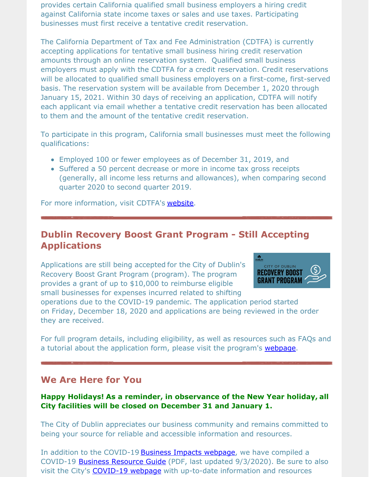provides certain California qualified small business employers a hiring credit against California state income taxes or sales and use taxes. Participating businesses must first receive a tentative credit reservation.

The California Department of Tax and Fee Administration (CDTFA) is currently accepting applications for tentative small business hiring credit reservation amounts through an online reservation system. Qualified small business employers must apply with the CDTFA for a credit reservation. Credit reservations will be allocated to qualified small business employers on a first-come, first-served basis. The reservation system will be available from December 1, 2020 through January 15, 2021. Within 30 days of receiving an application, CDTFA will notify each applicant via email whether a tentative credit reservation has been allocated to them and the amount of the tentative credit reservation.

To participate in this program, California small businesses must meet the following qualifications:

- Employed 100 or fewer employees as of December 31, 2019, and
- Suffered a 50 percent decrease or more in income tax gross receipts (generally, all income less returns and allowances), when comparing second quarter 2020 to second quarter 2019.

For more information, visit CDTFA's [website](https://www.cdtfa.ca.gov/taxes-and-fees/SB1447-tax-credit.htm).

#### **Dublin Recovery Boost Grant Program - Still Accepting Applications**

Applications are still being accepted for the City of Dublin's Recovery Boost Grant Program (program). The program provides a grant of up to \$10,000 to reimburse eligible small businesses for expenses incurred related to shifting



operations due to the COVID-19 pandemic. The application period started on Friday, December 18, 2020 and applications are being reviewed in the order they are received.

For full program details, including eligibility, as well as resources such as FAQs and a tutorial about the application form, please visit the program's **[webpage](https://dublin.ca.gov/recoveryboostgrant)**.

#### **We Are Here for You**

#### **Happy Holidays! As a reminder, in observance of the New Year holiday, all City facilities will be closed on December 31 and January 1.**

The City of Dublin appreciates our business community and remains committed to being your source for reliable and accessible information and resources.

In addition to the COVID-19 Business Impacts [webpage](https://www.dublin.ca.gov/2177/COVID-19-Business-Impacts), we have compiled a COVID-19 Business [Resource](https://www.dublin.ca.gov/DocumentCenter/View/22168) Guide (PDF, last updated 9/3/2020). Be sure to also visit the City's [COVID-19](https://www.dublin.ca.gov/coronavirus) webpage with up-to-date information and resources